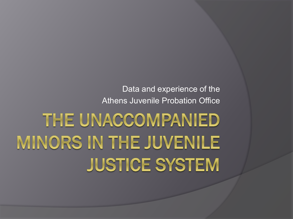# THE UNACCOMPANIED MINORS IN THE JUVENILE **JUSTICE SYSTEM**

Data and experience of the Athens Juvenile Probation Office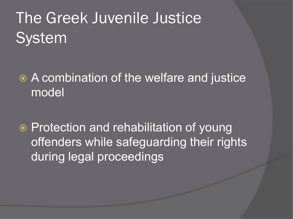## The Greek Juvenile Justice System

 A combination of the welfare and justice model

● Protection and rehabilitation of young offenders while safeguarding their rights during legal proceedings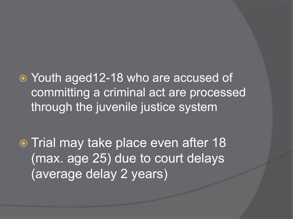Youth aged12-18 who are accused of committing a criminal act are processed through the juvenile justice system

o Trial may take place even after 18 (max. age 25) due to court delays (average delay 2 years)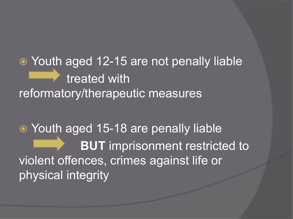Youth aged 12-15 are not penally liable treated with reformatory/therapeutic measures

 Youth aged 15-18 are penally liable **BUT** imprisonment restricted to violent offences, crimes against life or physical integrity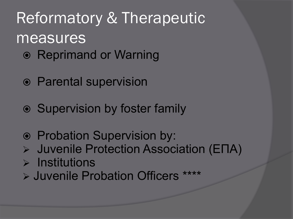- Reprimand or Warning
- Parental supervision
- Supervision by foster family
- Probation Supervision by:
- Juvenile Protection Association (ΕΠΑ)
- $\triangleright$  Institutions
- Juvenile Probation Officers \*\*\*\*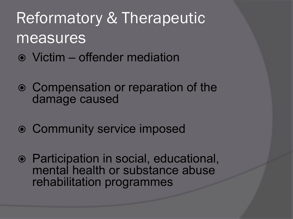- Victim offender mediation
- Compensation or reparation of the damage caused
- Community service imposed
- Participation in social, educational, mental health or substance abuse rehabilitation programmes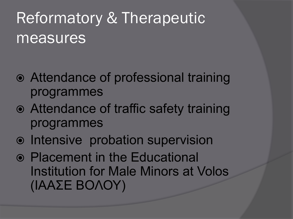- Attendance of professional training programmes
- Attendance of traffic safety training programmes
- $\odot$  Intensive probation supervision
- Placement in the Educational Institution for Male Minors at Volos (ΙΑΑΣΕ ΒΟΛΟΥ)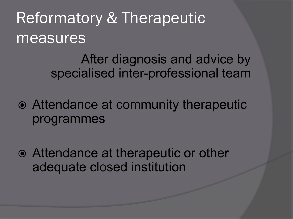> After diagnosis and advice by specialised inter-professional team

- Attendance at community therapeutic programmes
- Attendance at therapeutic or other adequate closed institution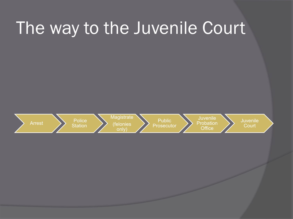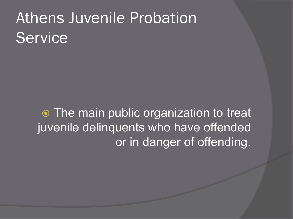## Athens Juvenile Probation **Service**

 Τhe main public organization to treat juvenile delinquents who have offended or in danger of offending.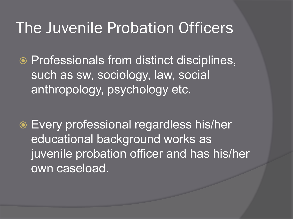### The Juvenile Probation Officers

**◎ Professionals from distinct disciplines,** such as sw, sociology, law, social anthropology, psychology etc.

 Every professional regardless his/her educational background works as juvenile probation officer and has his/her own caseload.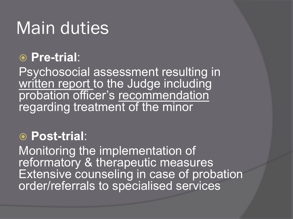## Main duties

#### **Pre-trial**:

Psychosocial assessment resulting in written report to the Judge including probation officer's recommendation regarding treatment of the minor

#### **Post-trial**:

Monitoring the implementation of reformatory & therapeutic measures Extensive counseling in case of probation order/referrals to specialised services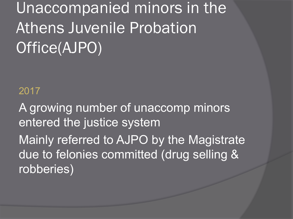Unaccompanied minors in the Athens Juvenile Probation Office(AJPO)

#### 2017

A growing number of unaccomp minors entered the justice system Mainly referred to AJPO by the Magistrate due to felonies committed (drug selling & robberies)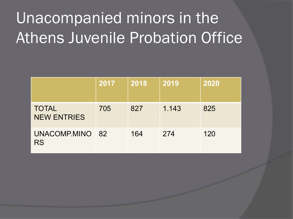## Unacompanied minors in the Athens Juvenile Probation Office

|                                    | 2017 | 2018 | 2019  | 2020 |
|------------------------------------|------|------|-------|------|
| <b>TOTAL</b><br><b>NEW ENTRIES</b> | 705  | 827  | 1.143 | 825  |
| UNACOMP.MINO 82<br><b>RS</b>       |      | 164  | 274   | 120  |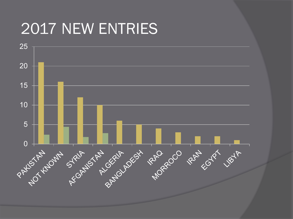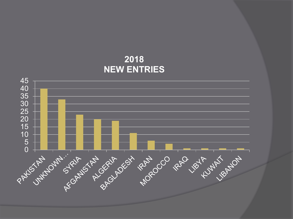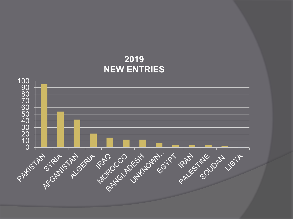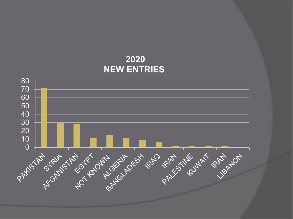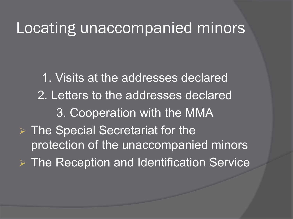### Locating unaccompanied minors

1. Visits at the addresses declared 2. Letters to the addresses declared 3. Cooperation with the MMA **▶ The Special Secretariat for the** protection of the unaccompanied minors The Reception and Identification Service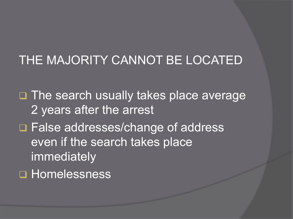#### THE MAJORITY CANNOT BE LOCATED

□ The search usually takes place average 2 years after the arrest □ False addresses/change of address even if the search takes place immediately **Homelessness**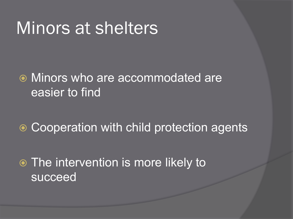## Minors at shelters

#### Minors who are accommodated are easier to find

**■ Cooperation with child protection agents** 

 The intervention is more likely to succeed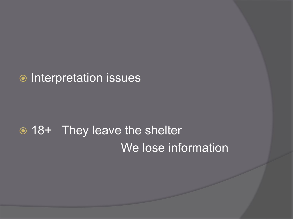#### $\odot$  Interpretation issues

### 18+ They leave the shelter We lose information